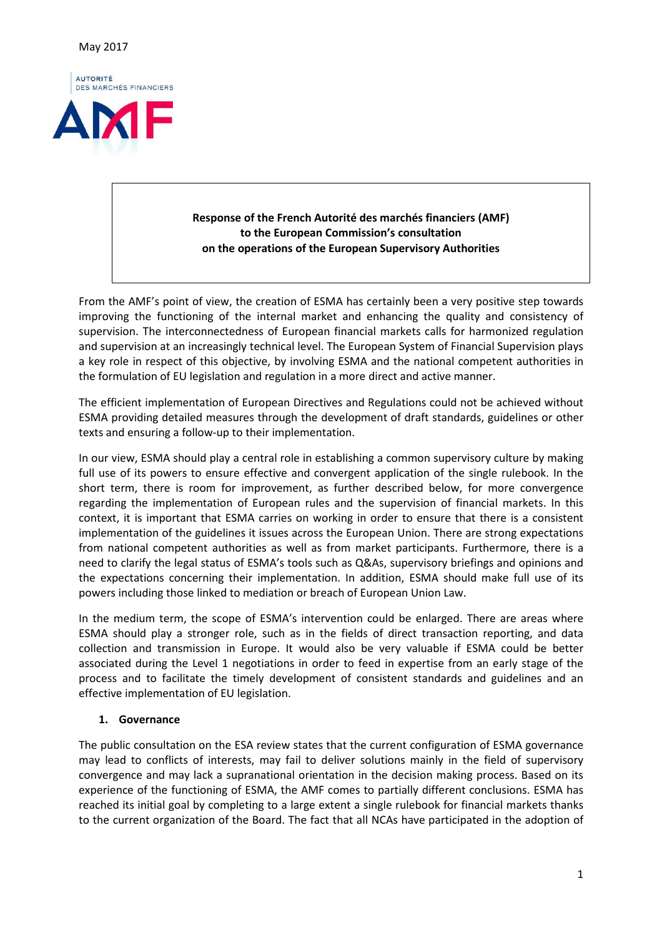

# **Response of the French Autorité des marchés financiers (AMF) to the European Commission's consultation on the operations of the European Supervisory Authorities**

From the AMF's point of view, the creation of ESMA has certainly been a very positive step towards improving the functioning of the internal market and enhancing the quality and consistency of supervision. The interconnectedness of European financial markets calls for harmonized regulation and supervision at an increasingly technical level. The European System of Financial Supervision plays a key role in respect of this objective, by involving ESMA and the national competent authorities in the formulation of EU legislation and regulation in a more direct and active manner.

The efficient implementation of European Directives and Regulations could not be achieved without ESMA providing detailed measures through the development of draft standards, guidelines or other texts and ensuring a follow-up to their implementation.

In our view, ESMA should play a central role in establishing a common supervisory culture by making full use of its powers to ensure effective and convergent application of the single rulebook. In the short term, there is room for improvement, as further described below, for more convergence regarding the implementation of European rules and the supervision of financial markets. In this context, it is important that ESMA carries on working in order to ensure that there is a consistent implementation of the guidelines it issues across the European Union. There are strong expectations from national competent authorities as well as from market participants. Furthermore, there is a need to clarify the legal status of ESMA's tools such as Q&As, supervisory briefings and opinions and the expectations concerning their implementation. In addition, ESMA should make full use of its powers including those linked to mediation or breach of European Union Law.

In the medium term, the scope of ESMA's intervention could be enlarged. There are areas where ESMA should play a stronger role, such as in the fields of direct transaction reporting, and data collection and transmission in Europe. It would also be very valuable if ESMA could be better associated during the Level 1 negotiations in order to feed in expertise from an early stage of the process and to facilitate the timely development of consistent standards and guidelines and an effective implementation of EU legislation.

## **1. Governance**

The public consultation on the ESA review states that the current configuration of ESMA governance may lead to conflicts of interests, may fail to deliver solutions mainly in the field of supervisory convergence and may lack a supranational orientation in the decision making process. Based on its experience of the functioning of ESMA, the AMF comes to partially different conclusions. ESMA has reached its initial goal by completing to a large extent a single rulebook for financial markets thanks to the current organization of the Board. The fact that all NCAs have participated in the adoption of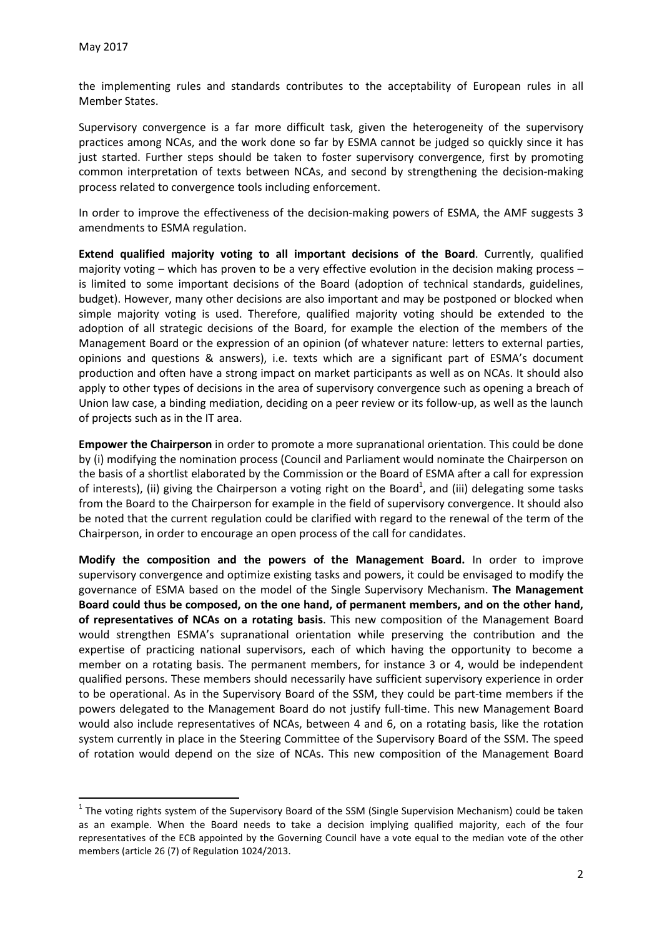l

the implementing rules and standards contributes to the acceptability of European rules in all Member States.

Supervisory convergence is a far more difficult task, given the heterogeneity of the supervisory practices among NCAs, and the work done so far by ESMA cannot be judged so quickly since it has just started. Further steps should be taken to foster supervisory convergence, first by promoting common interpretation of texts between NCAs, and second by strengthening the decision-making process related to convergence tools including enforcement.

In order to improve the effectiveness of the decision-making powers of ESMA, the AMF suggests 3 amendments to ESMA regulation.

**Extend qualified majority voting to all important decisions of the Board**. Currently, qualified majority voting – which has proven to be a very effective evolution in the decision making process – is limited to some important decisions of the Board (adoption of technical standards, guidelines, budget). However, many other decisions are also important and may be postponed or blocked when simple majority voting is used. Therefore, qualified majority voting should be extended to the adoption of all strategic decisions of the Board, for example the election of the members of the Management Board or the expression of an opinion (of whatever nature: letters to external parties, opinions and questions & answers), i.e. texts which are a significant part of ESMA's document production and often have a strong impact on market participants as well as on NCAs. It should also apply to other types of decisions in the area of supervisory convergence such as opening a breach of Union law case, a binding mediation, deciding on a peer review or its follow-up, as well as the launch of projects such as in the IT area.

**Empower the Chairperson** in order to promote a more supranational orientation. This could be done by (i) modifying the nomination process (Council and Parliament would nominate the Chairperson on the basis of a shortlist elaborated by the Commission or the Board of ESMA after a call for expression of interests), (ii) giving the Chairperson a voting right on the Board<sup>1</sup>, and (iii) delegating some tasks from the Board to the Chairperson for example in the field of supervisory convergence. It should also be noted that the current regulation could be clarified with regard to the renewal of the term of the Chairperson, in order to encourage an open process of the call for candidates.

**Modify the composition and the powers of the Management Board.** In order to improve supervisory convergence and optimize existing tasks and powers, it could be envisaged to modify the governance of ESMA based on the model of the Single Supervisory Mechanism. **The Management Board could thus be composed, on the one hand, of permanent members, and on the other hand, of representatives of NCAs on a rotating basis**. This new composition of the Management Board would strengthen ESMA's supranational orientation while preserving the contribution and the expertise of practicing national supervisors, each of which having the opportunity to become a member on a rotating basis. The permanent members, for instance 3 or 4, would be independent qualified persons. These members should necessarily have sufficient supervisory experience in order to be operational. As in the Supervisory Board of the SSM, they could be part-time members if the powers delegated to the Management Board do not justify full-time. This new Management Board would also include representatives of NCAs, between 4 and 6, on a rotating basis, like the rotation system currently in place in the Steering Committee of the Supervisory Board of the SSM. The speed of rotation would depend on the size of NCAs. This new composition of the Management Board

 $^1$  The voting rights system of the Supervisory Board of the SSM (Single Supervision Mechanism) could be taken as an example. When the Board needs to take a decision implying qualified majority, each of the four representatives of the ECB appointed by the Governing Council have a vote equal to the median vote of the other members (article 26 (7) of Regulation 1024/2013.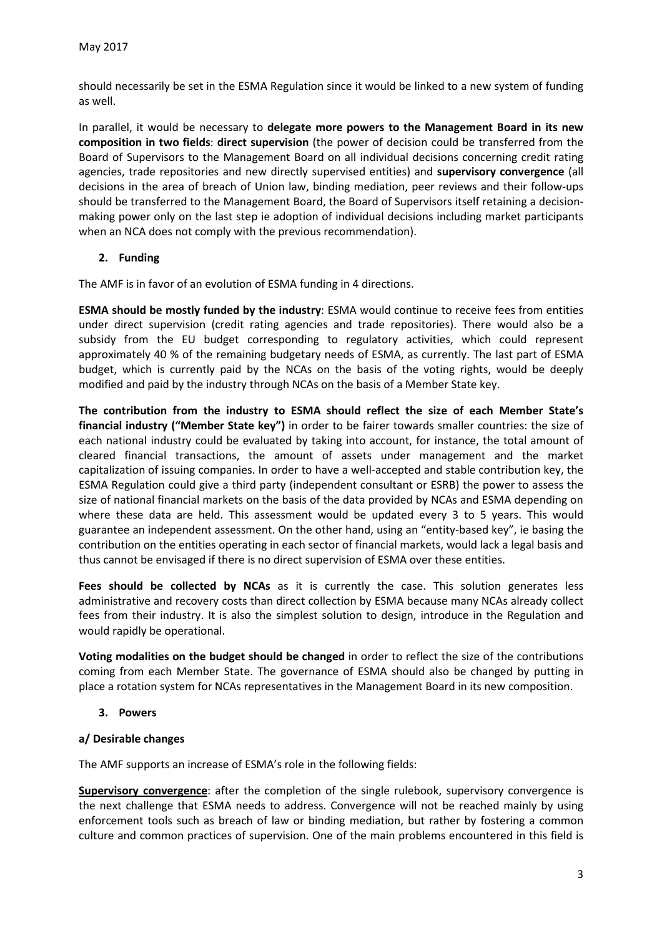should necessarily be set in the ESMA Regulation since it would be linked to a new system of funding as well.

In parallel, it would be necessary to **delegate more powers to the Management Board in its new composition in two fields**: **direct supervision** (the power of decision could be transferred from the Board of Supervisors to the Management Board on all individual decisions concerning credit rating agencies, trade repositories and new directly supervised entities) and **supervisory convergence** (all decisions in the area of breach of Union law, binding mediation, peer reviews and their follow-ups should be transferred to the Management Board, the Board of Supervisors itself retaining a decisionmaking power only on the last step ie adoption of individual decisions including market participants when an NCA does not comply with the previous recommendation).

## **2. Funding**

The AMF is in favor of an evolution of ESMA funding in 4 directions.

**ESMA should be mostly funded by the industry**: ESMA would continue to receive fees from entities under direct supervision (credit rating agencies and trade repositories). There would also be a subsidy from the EU budget corresponding to regulatory activities, which could represent approximately 40 % of the remaining budgetary needs of ESMA, as currently. The last part of ESMA budget, which is currently paid by the NCAs on the basis of the voting rights, would be deeply modified and paid by the industry through NCAs on the basis of a Member State key.

**The contribution from the industry to ESMA should reflect the size of each Member State's financial industry ("Member State key")** in order to be fairer towards smaller countries: the size of each national industry could be evaluated by taking into account, for instance, the total amount of cleared financial transactions, the amount of assets under management and the market capitalization of issuing companies. In order to have a well-accepted and stable contribution key, the ESMA Regulation could give a third party (independent consultant or ESRB) the power to assess the size of national financial markets on the basis of the data provided by NCAs and ESMA depending on where these data are held. This assessment would be updated every 3 to 5 years. This would guarantee an independent assessment. On the other hand, using an "entity-based key", ie basing the contribution on the entities operating in each sector of financial markets, would lack a legal basis and thus cannot be envisaged if there is no direct supervision of ESMA over these entities.

Fees should be collected by NCAs as it is currently the case. This solution generates less administrative and recovery costs than direct collection by ESMA because many NCAs already collect fees from their industry. It is also the simplest solution to design, introduce in the Regulation and would rapidly be operational.

**Voting modalities on the budget should be changed** in order to reflect the size of the contributions coming from each Member State. The governance of ESMA should also be changed by putting in place a rotation system for NCAs representatives in the Management Board in its new composition.

**3. Powers** 

#### **a/ Desirable changes**

The AMF supports an increase of ESMA's role in the following fields:

**Supervisory convergence**: after the completion of the single rulebook, supervisory convergence is the next challenge that ESMA needs to address. Convergence will not be reached mainly by using enforcement tools such as breach of law or binding mediation, but rather by fostering a common culture and common practices of supervision. One of the main problems encountered in this field is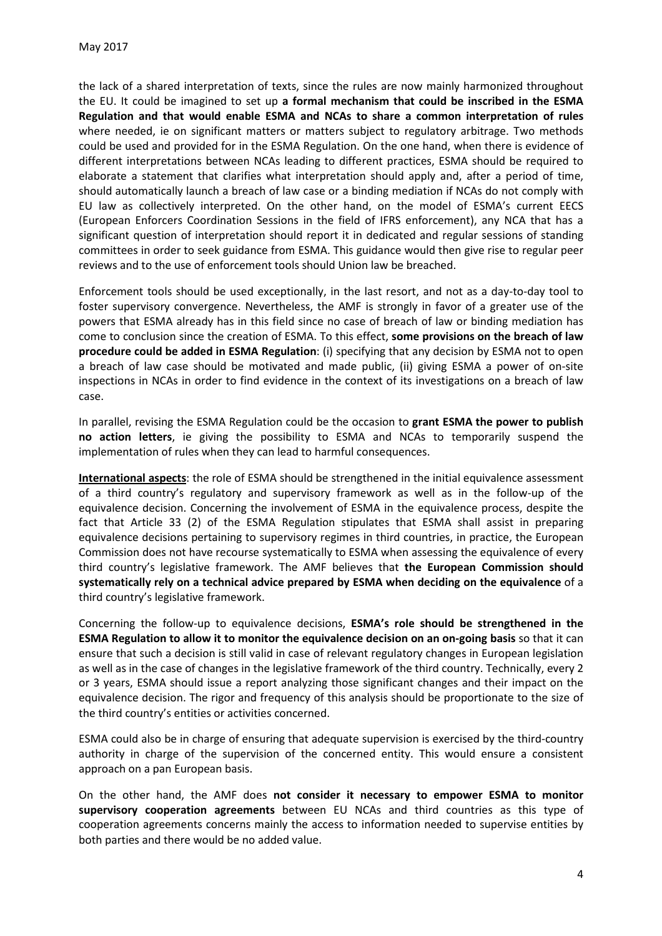the lack of a shared interpretation of texts, since the rules are now mainly harmonized throughout the EU. It could be imagined to set up **a formal mechanism that could be inscribed in the ESMA Regulation and that would enable ESMA and NCAs to share a common interpretation of rules** where needed, ie on significant matters or matters subject to regulatory arbitrage. Two methods could be used and provided for in the ESMA Regulation. On the one hand, when there is evidence of different interpretations between NCAs leading to different practices, ESMA should be required to elaborate a statement that clarifies what interpretation should apply and, after a period of time, should automatically launch a breach of law case or a binding mediation if NCAs do not comply with EU law as collectively interpreted. On the other hand, on the model of ESMA's current EECS (European Enforcers Coordination Sessions in the field of IFRS enforcement), any NCA that has a significant question of interpretation should report it in dedicated and regular sessions of standing committees in order to seek guidance from ESMA. This guidance would then give rise to regular peer reviews and to the use of enforcement tools should Union law be breached.

Enforcement tools should be used exceptionally, in the last resort, and not as a day-to-day tool to foster supervisory convergence. Nevertheless, the AMF is strongly in favor of a greater use of the powers that ESMA already has in this field since no case of breach of law or binding mediation has come to conclusion since the creation of ESMA. To this effect, **some provisions on the breach of law procedure could be added in ESMA Regulation**: (i) specifying that any decision by ESMA not to open a breach of law case should be motivated and made public, (ii) giving ESMA a power of on-site inspections in NCAs in order to find evidence in the context of its investigations on a breach of law case.

In parallel, revising the ESMA Regulation could be the occasion to **grant ESMA the power to publish no action letters**, ie giving the possibility to ESMA and NCAs to temporarily suspend the implementation of rules when they can lead to harmful consequences.

**International aspects**: the role of ESMA should be strengthened in the initial equivalence assessment of a third country's regulatory and supervisory framework as well as in the follow-up of the equivalence decision. Concerning the involvement of ESMA in the equivalence process, despite the fact that Article 33 (2) of the ESMA Regulation stipulates that ESMA shall assist in preparing equivalence decisions pertaining to supervisory regimes in third countries, in practice, the European Commission does not have recourse systematically to ESMA when assessing the equivalence of every third country's legislative framework. The AMF believes that **the European Commission should systematically rely on a technical advice prepared by ESMA when deciding on the equivalence** of a third country's legislative framework.

Concerning the follow-up to equivalence decisions, **ESMA's role should be strengthened in the ESMA Regulation to allow it to monitor the equivalence decision on an on-going basis** so that it can ensure that such a decision is still valid in case of relevant regulatory changes in European legislation as well as in the case of changes in the legislative framework of the third country. Technically, every 2 or 3 years, ESMA should issue a report analyzing those significant changes and their impact on the equivalence decision. The rigor and frequency of this analysis should be proportionate to the size of the third country's entities or activities concerned.

ESMA could also be in charge of ensuring that adequate supervision is exercised by the third-country authority in charge of the supervision of the concerned entity. This would ensure a consistent approach on a pan European basis.

On the other hand, the AMF does **not consider it necessary to empower ESMA to monitor supervisory cooperation agreements** between EU NCAs and third countries as this type of cooperation agreements concerns mainly the access to information needed to supervise entities by both parties and there would be no added value.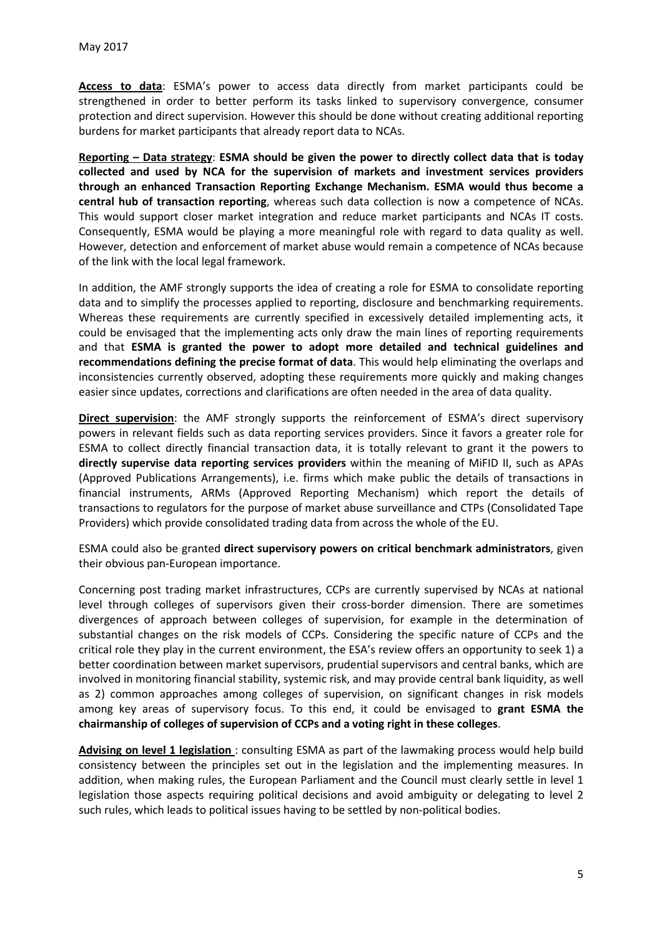**Access to data**: ESMA's power to access data directly from market participants could be strengthened in order to better perform its tasks linked to supervisory convergence, consumer protection and direct supervision. However this should be done without creating additional reporting burdens for market participants that already report data to NCAs.

**Reporting – Data strategy**: **ESMA should be given the power to directly collect data that is today collected and used by NCA for the supervision of markets and investment services providers through an enhanced Transaction Reporting Exchange Mechanism. ESMA would thus become a central hub of transaction reporting**, whereas such data collection is now a competence of NCAs. This would support closer market integration and reduce market participants and NCAs IT costs. Consequently, ESMA would be playing a more meaningful role with regard to data quality as well. However, detection and enforcement of market abuse would remain a competence of NCAs because of the link with the local legal framework.

In addition, the AMF strongly supports the idea of creating a role for ESMA to consolidate reporting data and to simplify the processes applied to reporting, disclosure and benchmarking requirements. Whereas these requirements are currently specified in excessively detailed implementing acts, it could be envisaged that the implementing acts only draw the main lines of reporting requirements and that **ESMA is granted the power to adopt more detailed and technical guidelines and recommendations defining the precise format of data**. This would help eliminating the overlaps and inconsistencies currently observed, adopting these requirements more quickly and making changes easier since updates, corrections and clarifications are often needed in the area of data quality.

**Direct supervision**: the AMF strongly supports the reinforcement of ESMA's direct supervisory powers in relevant fields such as data reporting services providers. Since it favors a greater role for ESMA to collect directly financial transaction data, it is totally relevant to grant it the powers to **directly supervise data reporting services providers** within the meaning of MiFID II, such as APAs (Approved Publications Arrangements), i.e. firms which make public the details of transactions in financial instruments, ARMs (Approved Reporting Mechanism) which report the details of transactions to regulators for the purpose of market abuse surveillance and CTPs (Consolidated Tape Providers) which provide consolidated trading data from across the whole of the EU.

ESMA could also be granted **direct supervisory powers on critical benchmark administrators**, given their obvious pan-European importance.

Concerning post trading market infrastructures, CCPs are currently supervised by NCAs at national level through colleges of supervisors given their cross-border dimension. There are sometimes divergences of approach between colleges of supervision, for example in the determination of substantial changes on the risk models of CCPs. Considering the specific nature of CCPs and the critical role they play in the current environment, the ESA's review offers an opportunity to seek 1) a better coordination between market supervisors, prudential supervisors and central banks, which are involved in monitoring financial stability, systemic risk, and may provide central bank liquidity, as well as 2) common approaches among colleges of supervision, on significant changes in risk models among key areas of supervisory focus. To this end, it could be envisaged to **grant ESMA the chairmanship of colleges of supervision of CCPs and a voting right in these colleges**.

**Advising on level 1 legislation** : consulting ESMA as part of the lawmaking process would help build consistency between the principles set out in the legislation and the implementing measures. In addition, when making rules, the European Parliament and the Council must clearly settle in level 1 legislation those aspects requiring political decisions and avoid ambiguity or delegating to level 2 such rules, which leads to political issues having to be settled by non-political bodies.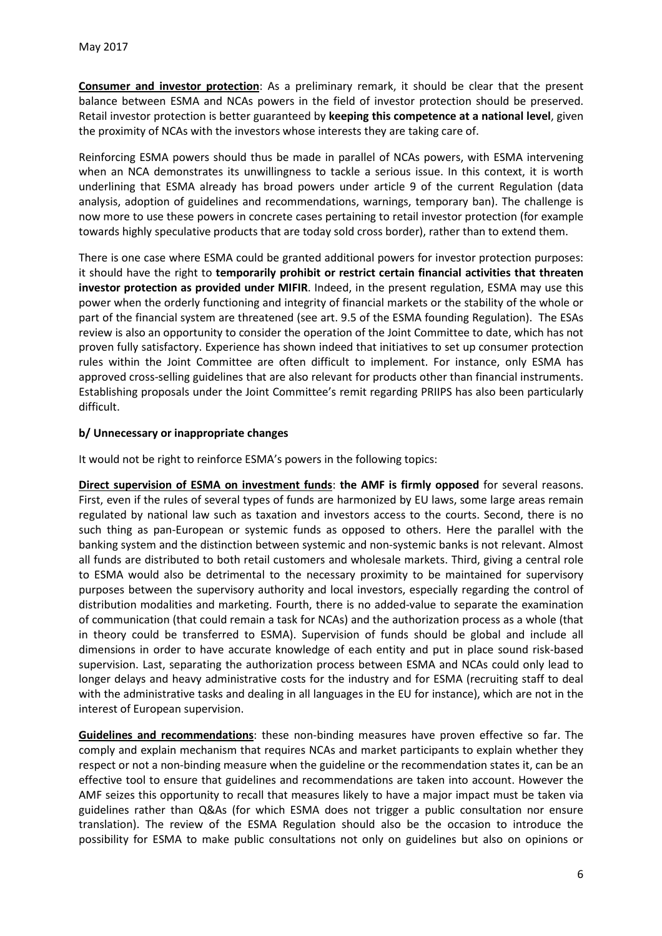**Consumer and investor protection**: As a preliminary remark, it should be clear that the present balance between ESMA and NCAs powers in the field of investor protection should be preserved. Retail investor protection is better guaranteed by **keeping this competence at a national level**, given the proximity of NCAs with the investors whose interests they are taking care of.

Reinforcing ESMA powers should thus be made in parallel of NCAs powers, with ESMA intervening when an NCA demonstrates its unwillingness to tackle a serious issue. In this context, it is worth underlining that ESMA already has broad powers under article 9 of the current Regulation (data analysis, adoption of guidelines and recommendations, warnings, temporary ban). The challenge is now more to use these powers in concrete cases pertaining to retail investor protection (for example towards highly speculative products that are today sold cross border), rather than to extend them.

There is one case where ESMA could be granted additional powers for investor protection purposes: it should have the right to **temporarily prohibit or restrict certain financial activities that threaten investor protection as provided under MIFIR**. Indeed, in the present regulation, ESMA may use this power when the orderly functioning and integrity of financial markets or the stability of the whole or part of the financial system are threatened (see art. 9.5 of the ESMA founding Regulation). The ESAs review is also an opportunity to consider the operation of the Joint Committee to date, which has not proven fully satisfactory. Experience has shown indeed that initiatives to set up consumer protection rules within the Joint Committee are often difficult to implement. For instance, only ESMA has approved cross-selling guidelines that are also relevant for products other than financial instruments. Establishing proposals under the Joint Committee's remit regarding PRIIPS has also been particularly difficult.

## **b/ Unnecessary or inappropriate changes**

It would not be right to reinforce ESMA's powers in the following topics:

**Direct supervision of ESMA on investment funds**: **the AMF is firmly opposed** for several reasons. First, even if the rules of several types of funds are harmonized by EU laws, some large areas remain regulated by national law such as taxation and investors access to the courts. Second, there is no such thing as pan-European or systemic funds as opposed to others. Here the parallel with the banking system and the distinction between systemic and non-systemic banks is not relevant. Almost all funds are distributed to both retail customers and wholesale markets. Third, giving a central role to ESMA would also be detrimental to the necessary proximity to be maintained for supervisory purposes between the supervisory authority and local investors, especially regarding the control of distribution modalities and marketing. Fourth, there is no added-value to separate the examination of communication (that could remain a task for NCAs) and the authorization process as a whole (that in theory could be transferred to ESMA). Supervision of funds should be global and include all dimensions in order to have accurate knowledge of each entity and put in place sound risk-based supervision. Last, separating the authorization process between ESMA and NCAs could only lead to longer delays and heavy administrative costs for the industry and for ESMA (recruiting staff to deal with the administrative tasks and dealing in all languages in the EU for instance), which are not in the interest of European supervision.

**Guidelines and recommendations**: these non-binding measures have proven effective so far. The comply and explain mechanism that requires NCAs and market participants to explain whether they respect or not a non-binding measure when the guideline or the recommendation states it, can be an effective tool to ensure that guidelines and recommendations are taken into account. However the AMF seizes this opportunity to recall that measures likely to have a major impact must be taken via guidelines rather than Q&As (for which ESMA does not trigger a public consultation nor ensure translation). The review of the ESMA Regulation should also be the occasion to introduce the possibility for ESMA to make public consultations not only on guidelines but also on opinions or